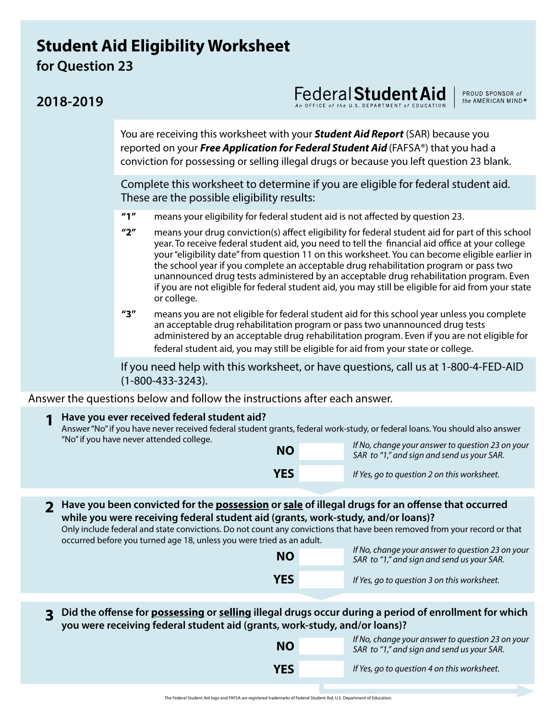## **Student Aid Eligibility Worksheet for Question 23**

## Federal **Student Aid**

You are receiving this worksheet with your *Student Aid Report* (SAR) because you reported on your *Free Application for Federal Student Aid* (FAFSA®) that you had a conviction for possessing or selling illegal drugs or because you left question 23 blank.

PROUD SPONSOR of the AMERICAN MIND®

Complete this worksheet to determine if you are eligible for federal student aid. These are the possible eligibility results:

- **"1"** means your eligibility for federal student aid is not affected by question 23.
- **"2"** means your drug conviction(s) affect eligibility for federal student aid for part of this school year. To receive federal student aid, you need to tell the financial aid office at your college your "eligibility date" from question 11 on this worksheet. You can become eligible earlier in the school year if you complete an acceptable drug rehabilitation program or pass two unannounced drug tests administered by an acceptable drug rehabilitation program. Even if you are not eligible for federal student aid, you may still be eligible for aid from your state or college.
- **"3"** means you are not eligible for federal student aid for this school year unless you complete an acceptable drug rehabilitation program or pass two unannounced drug tests administered by an acceptable drug rehabilitation program. Even if you are not eligible for federal student aid, you may still be eligible for aid from your state or college.

If you need help with this worksheet, or have questions, call us at 1-800-4-FED-AID (1-800-433-3243).

Answer the questions below and follow the instructions after each answer.

| Have you ever received federal student aid?<br>"No" if you have never attended college.                                                                                                                                                                                                                                                                                                          | Answer "No" if you have never received federal student grants, federal work-study, or federal loans. You should also answer<br>If No, change your answer to question 23 on your<br><b>NO</b><br>SAR to "1," and sign and send us your SAR.<br><b>YES</b><br>If Yes, go to question 2 on this worksheet. |                                                                                                |  |  |  |  |
|--------------------------------------------------------------------------------------------------------------------------------------------------------------------------------------------------------------------------------------------------------------------------------------------------------------------------------------------------------------------------------------------------|---------------------------------------------------------------------------------------------------------------------------------------------------------------------------------------------------------------------------------------------------------------------------------------------------------|------------------------------------------------------------------------------------------------|--|--|--|--|
|                                                                                                                                                                                                                                                                                                                                                                                                  |                                                                                                                                                                                                                                                                                                         |                                                                                                |  |  |  |  |
| Have you been convicted for the <b>possession</b> or sale of illegal drugs for an offense that occurred<br>while you were receiving federal student aid (grants, work-study, and/or loans)?<br>Only include federal and state convictions. Do not count any convictions that have been removed from your record or that<br>occurred before you turned age 18, unless you were tried as an adult. |                                                                                                                                                                                                                                                                                                         |                                                                                                |  |  |  |  |
|                                                                                                                                                                                                                                                                                                                                                                                                  | <b>NO</b>                                                                                                                                                                                                                                                                                               | If No, change your answer to question 23 on your<br>SAR to "1," and sign and send us your SAR. |  |  |  |  |
|                                                                                                                                                                                                                                                                                                                                                                                                  | <b>YES</b>                                                                                                                                                                                                                                                                                              | If Yes, go to question 3 on this worksheet.                                                    |  |  |  |  |
|                                                                                                                                                                                                                                                                                                                                                                                                  |                                                                                                                                                                                                                                                                                                         |                                                                                                |  |  |  |  |

3 Did the offense for <u>possessing</u> or <u>selling</u> illegal drugs occur during a period of enrollment for which<br>19 you were receiving federal student aid (grants, work-study, and/or loans)?

| <b>NO</b>  | If No, change your answer to question 23 on your<br>SAR to "1," and sign and send us your SAR. |
|------------|------------------------------------------------------------------------------------------------|
| <b>YES</b> | If Yes, go to question 4 on this worksheet.                                                    |

## **2018-2019**